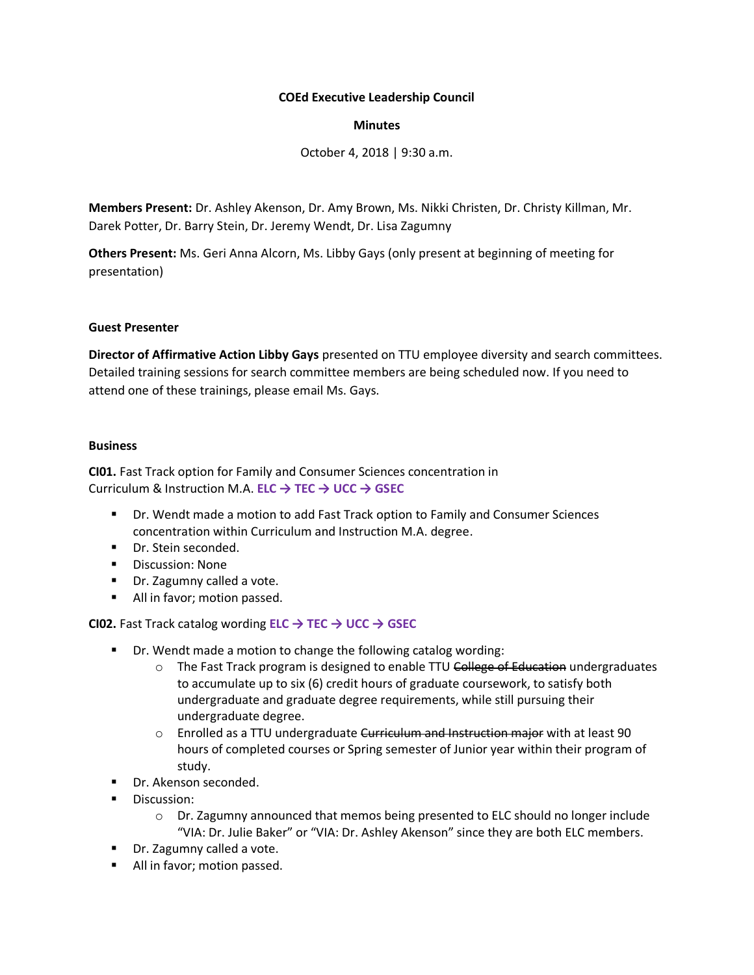## **COEd Executive Leadership Council**

### **Minutes**

October 4, 2018 | 9:30 a.m.

**Members Present:** Dr. Ashley Akenson, Dr. Amy Brown, Ms. Nikki Christen, Dr. Christy Killman, Mr. Darek Potter, Dr. Barry Stein, Dr. Jeremy Wendt, Dr. Lisa Zagumny

**Others Present:** Ms. Geri Anna Alcorn, Ms. Libby Gays (only present at beginning of meeting for presentation)

### **Guest Presenter**

**Director of Affirmative Action Libby Gays** presented on TTU employee diversity and search committees. Detailed training sessions for search committee members are being scheduled now. If you need to attend one of these trainings, please email Ms. Gays.

#### **Business**

**CI01.** Fast Track option for Family and Consumer Sciences concentration in Curriculum & Instruction M.A. **ELC → TEC → UCC → GSEC**

- Dr. Wendt made a motion to add Fast Track option to Family and Consumer Sciences concentration within Curriculum and Instruction M.A. degree.
- Dr. Stein seconded.
- **•** Discussion: None
- **Dr.** Zagumny called a vote.
- All in favor; motion passed.

**CI02.** Fast Track catalog wording **ELC → TEC → UCC → GSEC**

- Dr. Wendt made a motion to change the following catalog wording:
	- o The Fast Track program is designed to enable TTU College of Education undergraduates to accumulate up to six (6) credit hours of graduate coursework, to satisfy both undergraduate and graduate degree requirements, while still pursuing their undergraduate degree.
	- $\circ$  Enrolled as a TTU undergraduate Curriculum and Instruction major with at least 90 hours of completed courses or Spring semester of Junior year within their program of study.
- Dr. Akenson seconded.
- **Discussion:** 
	- $\circ$  Dr. Zagumny announced that memos being presented to ELC should no longer include "VIA: Dr. Julie Baker" or "VIA: Dr. Ashley Akenson" since they are both ELC members.
- **Dr.** Zagumny called a vote.
- All in favor; motion passed.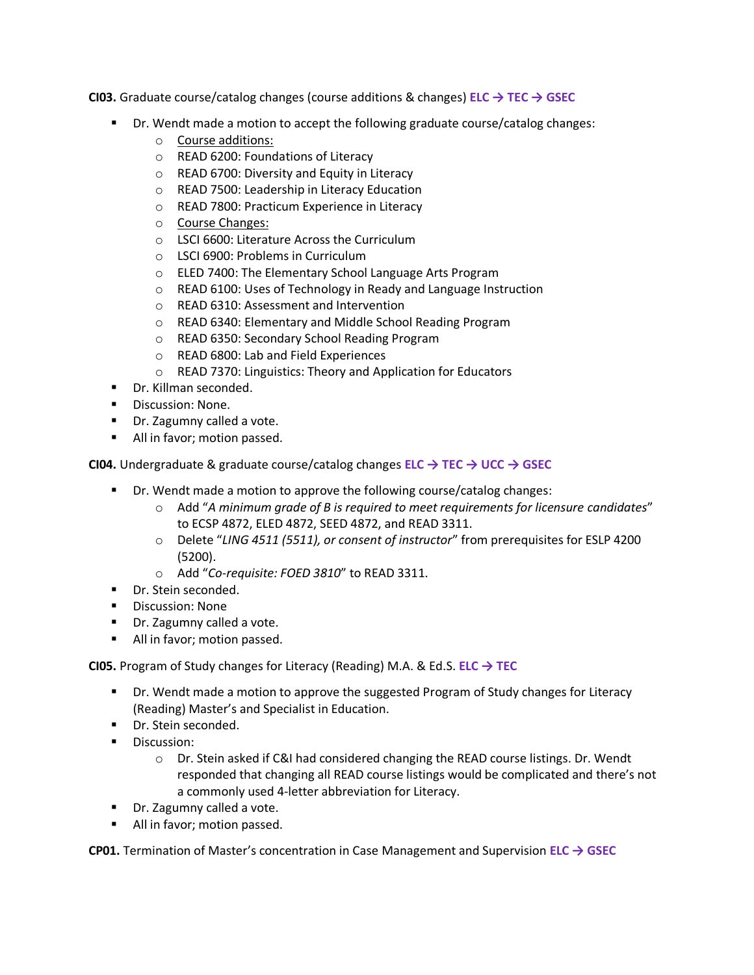**CI03.** Graduate course/catalog changes (course additions & changes) **ELC → TEC → GSEC**

- **Dr.** Wendt made a motion to accept the following graduate course/catalog changes:
	- o Course additions:
	- o READ 6200: Foundations of Literacy
	- o READ 6700: Diversity and Equity in Literacy
	- o READ 7500: Leadership in Literacy Education
	- o READ 7800: Practicum Experience in Literacy
	- o Course Changes:
	- o LSCI 6600: Literature Across the Curriculum
	- o LSCI 6900: Problems in Curriculum
	- o ELED 7400: The Elementary School Language Arts Program
	- o READ 6100: Uses of Technology in Ready and Language Instruction
	- o READ 6310: Assessment and Intervention
	- o READ 6340: Elementary and Middle School Reading Program
	- o READ 6350: Secondary School Reading Program
	- o READ 6800: Lab and Field Experiences
	- o READ 7370: Linguistics: Theory and Application for Educators
- **Dr.** Killman seconded.
- **•** Discussion: None.
- **Dr.** Zagumny called a vote.
- All in favor; motion passed.

**CI04.** Undergraduate & graduate course/catalog changes **ELC → TEC → UCC → GSEC**

- Dr. Wendt made a motion to approve the following course/catalog changes:
	- o Add "*A minimum grade of B is required to meet requirements for licensure candidates*" to ECSP 4872, ELED 4872, SEED 4872, and READ 3311.
	- o Delete "*LING 4511 (5511), or consent of instructor*" from prerequisites for ESLP 4200 (5200).
	- o Add "*Co-requisite: FOED 3810*" to READ 3311.
- **Dr.** Stein seconded.
- **Discussion: None**
- Dr. Zagumny called a vote.
- All in favor; motion passed.

**CI05.** Program of Study changes for Literacy (Reading) M.A. & Ed.S. **ELC → TEC**

- **Dr.** Wendt made a motion to approve the suggested Program of Study changes for Literacy (Reading) Master's and Specialist in Education.
- Dr. Stein seconded.
- **Discussion:** 
	- o Dr. Stein asked if C&I had considered changing the READ course listings. Dr. Wendt responded that changing all READ course listings would be complicated and there's not a commonly used 4-letter abbreviation for Literacy.
- **Dr.** Zagumny called a vote.
- **All in favor; motion passed.**

**CP01.** Termination of Master's concentration in Case Management and Supervision **ELC → GSEC**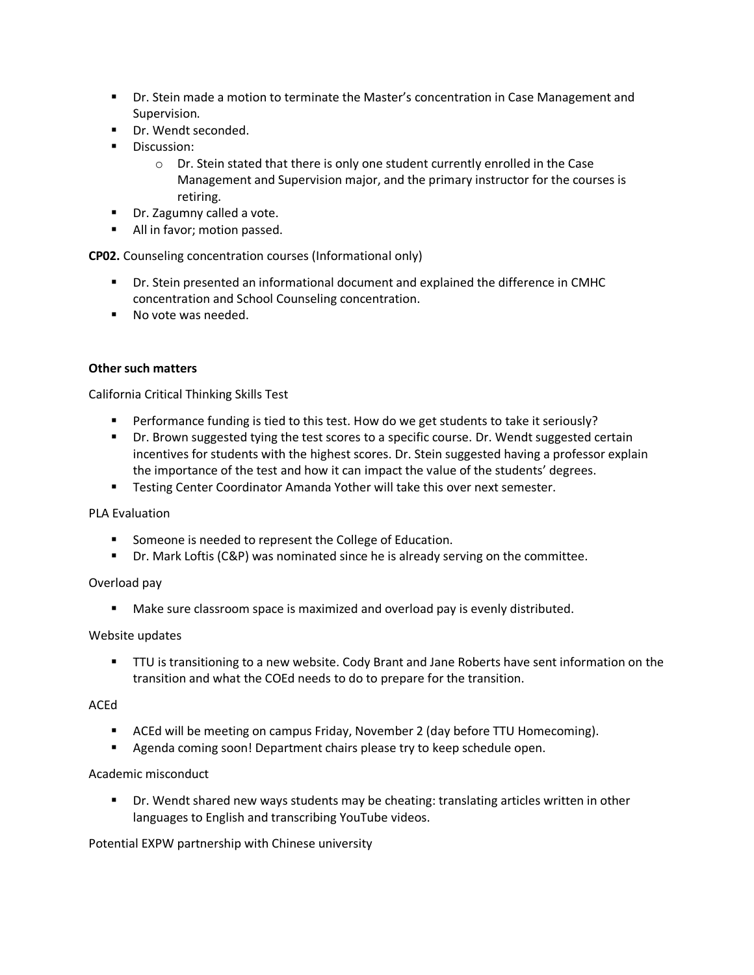- **Dr. Stein made a motion to terminate the Master's concentration in Case Management and** Supervision.
- Dr. Wendt seconded.
- **Discussion:** 
	- $\circ$  Dr. Stein stated that there is only one student currently enrolled in the Case Management and Supervision major, and the primary instructor for the courses is retiring.
- Dr. Zagumny called a vote.
- **All in favor; motion passed.**

**CP02.** Counseling concentration courses (Informational only)

- Dr. Stein presented an informational document and explained the difference in CMHC concentration and School Counseling concentration.
- No vote was needed.

## **Other such matters**

California Critical Thinking Skills Test

- **Performance funding is tied to this test. How do we get students to take it seriously?**
- **Dr. Brown suggested tying the test scores to a specific course. Dr. Wendt suggested certain** incentives for students with the highest scores. Dr. Stein suggested having a professor explain the importance of the test and how it can impact the value of the students' degrees.
- **Testing Center Coordinator Amanda Yother will take this over next semester.**

PLA Evaluation

- **Someone is needed to represent the College of Education.**
- Dr. Mark Loftis (C&P) was nominated since he is already serving on the committee.

## Overload pay

**Make sure classroom space is maximized and overload pay is evenly distributed.** 

#### Website updates

**TTU** is transitioning to a new website. Cody Brant and Jane Roberts have sent information on the transition and what the COEd needs to do to prepare for the transition.

#### ACEd

- ACEd will be meeting on campus Friday, November 2 (day before TTU Homecoming).
- Agenda coming soon! Department chairs please try to keep schedule open.

#### Academic misconduct

 Dr. Wendt shared new ways students may be cheating: translating articles written in other languages to English and transcribing YouTube videos.

Potential EXPW partnership with Chinese university